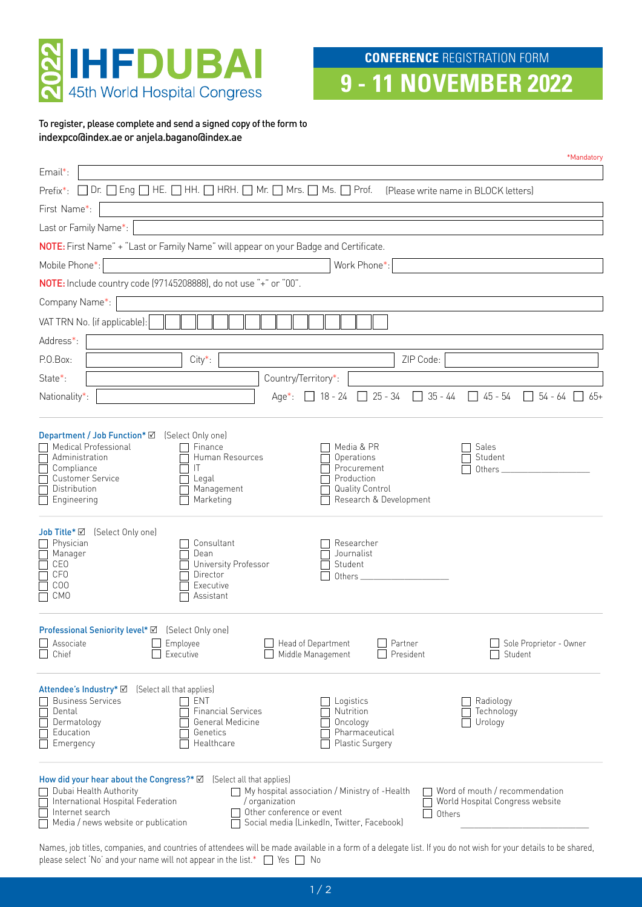

**9 - 11 NOVEMBER 2022**

To register, please complete and send a signed copy of the form to indexpco@index.ae or anjela.bagano@index.ae

| *Mandatory                                                                                                                                                                                                                                                                                                                                                                                                                            |
|---------------------------------------------------------------------------------------------------------------------------------------------------------------------------------------------------------------------------------------------------------------------------------------------------------------------------------------------------------------------------------------------------------------------------------------|
| Email*:                                                                                                                                                                                                                                                                                                                                                                                                                               |
| $\Box$ Dr. $\Box$ Eng $\Box$ HE. $\Box$ HH. $\Box$ HRH. $\Box$ Mr. $\Box$ Mrs. $\Box$ Ms. $\Box$ Prof.<br>Prefix*:<br>(Please write name in BLOCK letters)                                                                                                                                                                                                                                                                            |
| First Name*:                                                                                                                                                                                                                                                                                                                                                                                                                          |
| Last or Family Name*:                                                                                                                                                                                                                                                                                                                                                                                                                 |
| NOTE: First Name" + "Last or Family Name" will appear on your Badge and Certificate.                                                                                                                                                                                                                                                                                                                                                  |
| Mobile Phone*:<br>Work Phone*:                                                                                                                                                                                                                                                                                                                                                                                                        |
| NOTE: Include country code (97145208888), do not use "+" or "00".                                                                                                                                                                                                                                                                                                                                                                     |
| Company Name*:                                                                                                                                                                                                                                                                                                                                                                                                                        |
| VAT TRN No. (if applicable):                                                                                                                                                                                                                                                                                                                                                                                                          |
| Address*:                                                                                                                                                                                                                                                                                                                                                                                                                             |
| ZIP Code:<br>P.O.Box:<br>$City*$ :                                                                                                                                                                                                                                                                                                                                                                                                    |
| Country/Territory*:<br>State*:                                                                                                                                                                                                                                                                                                                                                                                                        |
| $25 - 34$<br>$\Box$ 35 - 44 $\Box$ 45 - 54<br>$\Box$ 54 - 64 $\Box$<br>Nationality*:<br>$\sqrt{18 - 24}$<br>$Aqe^*$ :<br>-65+                                                                                                                                                                                                                                                                                                         |
|                                                                                                                                                                                                                                                                                                                                                                                                                                       |
| Department / Job Function* Ø<br>(Select Only one)<br>Medical Professional<br>Finance<br>Media & PR<br>Sales<br>Administration<br>Human Resources<br>Student<br>Operations<br>Compliance<br>IT<br>Procurement<br>Others_<br><b>Customer Service</b><br>Production<br>Legal<br>Distribution<br>Management<br><b>Quality Control</b><br>Marketing<br>Research & Development<br>Engineering                                               |
| Job Title* Ø (Select Only one)<br>Physician<br>Consultant<br>Researcher<br>Journalist<br>Manager<br>Dean<br>University Professor<br>Student<br><b>CEO</b><br>CF <sub>0</sub><br>Director<br>COO<br>Executive<br><b>CMO</b><br>Assistant                                                                                                                                                                                               |
| <b>Professional Seniority level*</b> Ø (Select Only one)<br>Associate<br>Head of Department<br>Partner<br>Sole Proprietor - Owner<br>Employee<br>Middle Management<br>President<br>Chief<br>Executive<br>Student                                                                                                                                                                                                                      |
| Attendee's Industry* Ø<br>(Select all that applies)<br><b>Business Services</b><br>ENT<br>Logistics<br>Radiology<br><b>Financial Services</b><br>Nutrition<br>Dental<br>Technology<br>General Medicine<br>Dermatology<br>Oncology<br>Urology<br>Education<br>Pharmaceutical<br>Genetics<br>Emergency<br>Healthcare<br>Plastic Surgery                                                                                                 |
| How did your hear about the Congress?* Ø<br>(Select all that applies)<br>Dubai Health Authority<br>Word of mouth / recommendation<br>$\daleth$ My hospital association / Ministry of -Health<br>World Hospital Congress website<br>International Hospital Federation<br>/ organization<br>Internet search<br>Other conference or event<br>Others<br>Media / news website or publication<br>Social media (LinkedIn, Twitter, Facebook) |

Names, job titles, companies, and countries of attendees will be made available in a form of a delegate list. If you do not wish for your details to be shared, please select 'No' and your name will not appear in the list.\*  $\Box$  Yes  $\Box$  No